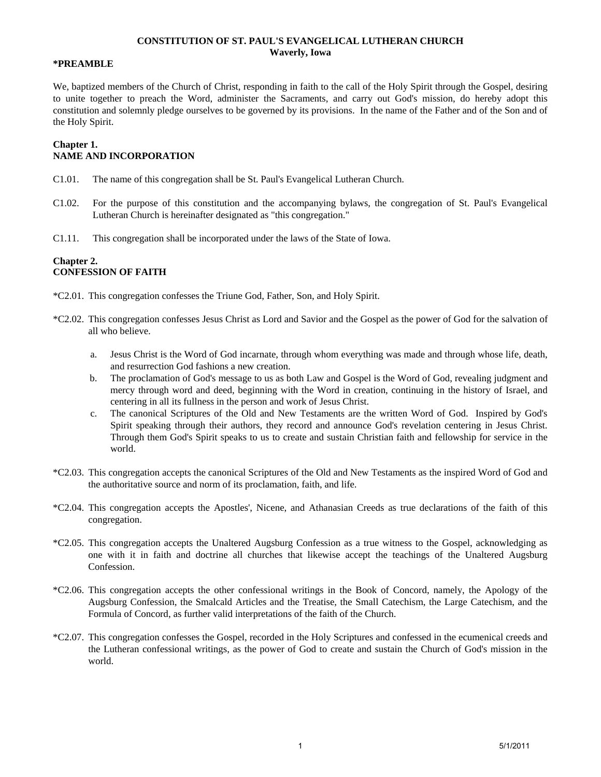### **CONSTITUTION OF ST. PAUL'S EVANGELICAL LUTHERAN CHURCH Waverly, Iowa**

#### **\*PREAMBLE**

We, baptized members of the Church of Christ, responding in faith to the call of the Holy Spirit through the Gospel, desiring to unite together to preach the Word, administer the Sacraments, and carry out God's mission, do hereby adopt this constitution and solemnly pledge ourselves to be governed by its provisions. In the name of the Father and of the Son and of the Holy Spirit.

#### **Chapter 1. NAME AND INCORPORATION**

- C1.01. The name of this congregation shall be St. Paul's Evangelical Lutheran Church.
- C1.02. For the purpose of this constitution and the accompanying bylaws, the congregation of St. Paul's Evangelical Lutheran Church is hereinafter designated as "this congregation."
- C1.11. This congregation shall be incorporated under the laws of the State of Iowa.

### **Chapter 2. CONFESSION OF FAITH**

- \*C2.01. This congregation confesses the Triune God, Father, Son, and Holy Spirit.
- \*C2.02. This congregation confesses Jesus Christ as Lord and Savior and the Gospel as the power of God for the salvation of all who believe.
	- a. Jesus Christ is the Word of God incarnate, through whom everything was made and through whose life, death, and resurrection God fashions a new creation.
	- b. The proclamation of God's message to us as both Law and Gospel is the Word of God, revealing judgment and mercy through word and deed, beginning with the Word in creation, continuing in the history of Israel, and centering in all its fullness in the person and work of Jesus Christ.
	- c. The canonical Scriptures of the Old and New Testaments are the written Word of God. Inspired by God's Spirit speaking through their authors, they record and announce God's revelation centering in Jesus Christ. Through them God's Spirit speaks to us to create and sustain Christian faith and fellowship for service in the world.
- \*C2.03. This congregation accepts the canonical Scriptures of the Old and New Testaments as the inspired Word of God and the authoritative source and norm of its proclamation, faith, and life.
- \*C2.04. This congregation accepts the Apostles', Nicene, and Athanasian Creeds as true declarations of the faith of this congregation.
- \*C2.05. This congregation accepts the Unaltered Augsburg Confession as a true witness to the Gospel, acknowledging as one with it in faith and doctrine all churches that likewise accept the teachings of the Unaltered Augsburg Confession.
- \*C2.06. This congregation accepts the other confessional writings in the Book of Concord, namely, the Apology of the Augsburg Confession, the Smalcald Articles and the Treatise, the Small Catechism, the Large Catechism, and the Formula of Concord, as further valid interpretations of the faith of the Church.
- \*C2.07. This congregation confesses the Gospel, recorded in the Holy Scriptures and confessed in the ecumenical creeds and the Lutheran confessional writings, as the power of God to create and sustain the Church of God's mission in the world.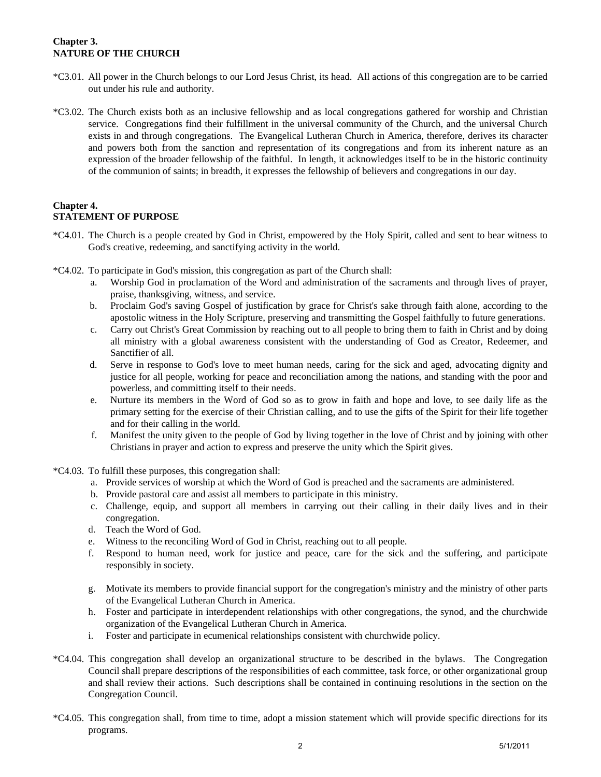# **Chapter 3. NATURE OF THE CHURCH**

- \*C3.01. All power in the Church belongs to our Lord Jesus Christ, its head. All actions of this congregation are to be carried out under his rule and authority.
- \*C3.02. The Church exists both as an inclusive fellowship and as local congregations gathered for worship and Christian service. Congregations find their fulfillment in the universal community of the Church, and the universal Church exists in and through congregations. The Evangelical Lutheran Church in America, therefore, derives its character and powers both from the sanction and representation of its congregations and from its inherent nature as an expression of the broader fellowship of the faithful. In length, it acknowledges itself to be in the historic continuity of the communion of saints; in breadth, it expresses the fellowship of believers and congregations in our day.

### **Chapter 4. STATEMENT OF PURPOSE**

- \*C4.01. The Church is a people created by God in Christ, empowered by the Holy Spirit, called and sent to bear witness to God's creative, redeeming, and sanctifying activity in the world.
- \*C4.02. To participate in God's mission, this congregation as part of the Church shall:
	- a. Worship God in proclamation of the Word and administration of the sacraments and through lives of prayer, praise, thanksgiving, witness, and service.
	- b. Proclaim God's saving Gospel of justification by grace for Christ's sake through faith alone, according to the apostolic witness in the Holy Scripture, preserving and transmitting the Gospel faithfully to future generations.
	- c. Carry out Christ's Great Commission by reaching out to all people to bring them to faith in Christ and by doing all ministry with a global awareness consistent with the understanding of God as Creator, Redeemer, and Sanctifier of all.
	- d. Serve in response to God's love to meet human needs, caring for the sick and aged, advocating dignity and justice for all people, working for peace and reconciliation among the nations, and standing with the poor and powerless, and committing itself to their needs.
	- e. Nurture its members in the Word of God so as to grow in faith and hope and love, to see daily life as the primary setting for the exercise of their Christian calling, and to use the gifts of the Spirit for their life together and for their calling in the world.
	- f. Manifest the unity given to the people of God by living together in the love of Christ and by joining with other Christians in prayer and action to express and preserve the unity which the Spirit gives.
- \*C4.03. To fulfill these purposes, this congregation shall:
	- a. Provide services of worship at which the Word of God is preached and the sacraments are administered.
	- b. Provide pastoral care and assist all members to participate in this ministry.
	- c. Challenge, equip, and support all members in carrying out their calling in their daily lives and in their congregation.
	- d. Teach the Word of God.
	- e. Witness to the reconciling Word of God in Christ, reaching out to all people.
	- f. Respond to human need, work for justice and peace, care for the sick and the suffering, and participate responsibly in society.
	- g. Motivate its members to provide financial support for the congregation's ministry and the ministry of other parts of the Evangelical Lutheran Church in America.
	- h. Foster and participate in interdependent relationships with other congregations, the synod, and the churchwide organization of the Evangelical Lutheran Church in America.
	- i. Foster and participate in ecumenical relationships consistent with churchwide policy.
- \*C4.04. This congregation shall develop an organizational structure to be described in the bylaws. The Congregation Council shall prepare descriptions of the responsibilities of each committee, task force, or other organizational group and shall review their actions. Such descriptions shall be contained in continuing resolutions in the section on the Congregation Council.
- \*C4.05. This congregation shall, from time to time, adopt a mission statement which will provide specific directions for its programs.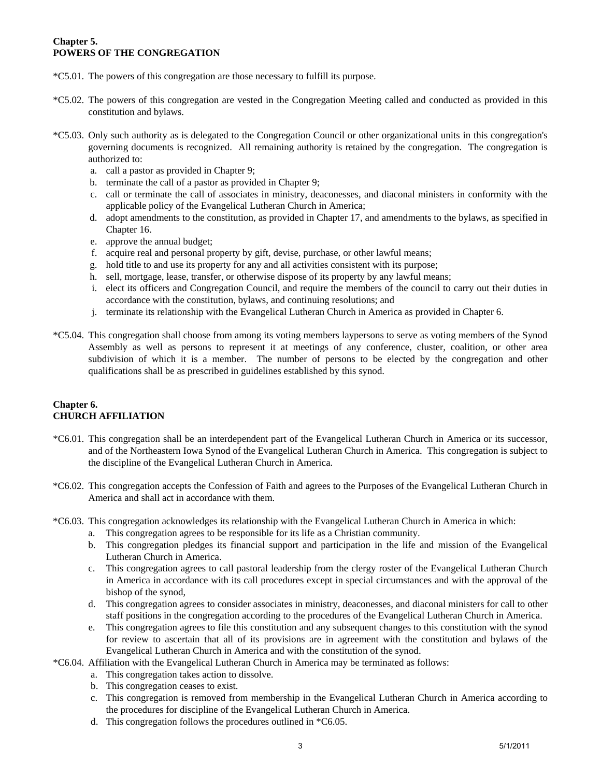### **Chapter 5. POWERS OF THE CONGREGATION**

- \*C5.01. The powers of this congregation are those necessary to fulfill its purpose.
- \*C5.02. The powers of this congregation are vested in the Congregation Meeting called and conducted as provided in this constitution and bylaws.
- \*C5.03. Only such authority as is delegated to the Congregation Council or other organizational units in this congregation's governing documents is recognized. All remaining authority is retained by the congregation. The congregation is authorized to:
	- a. call a pastor as provided in Chapter 9;
	- b. terminate the call of a pastor as provided in Chapter 9;
	- c. call or terminate the call of associates in ministry, deaconesses, and diaconal ministers in conformity with the applicable policy of the Evangelical Lutheran Church in America;
	- d. adopt amendments to the constitution, as provided in Chapter 17, and amendments to the bylaws, as specified in Chapter 16.
	- e. approve the annual budget;
	- f. acquire real and personal property by gift, devise, purchase, or other lawful means;
	- g. hold title to and use its property for any and all activities consistent with its purpose;
	- h. sell, mortgage, lease, transfer, or otherwise dispose of its property by any lawful means;
	- i. elect its officers and Congregation Council, and require the members of the council to carry out their duties in accordance with the constitution, bylaws, and continuing resolutions; and
	- j. terminate its relationship with the Evangelical Lutheran Church in America as provided in Chapter 6.
- \*C5.04. This congregation shall choose from among its voting members laypersons to serve as voting members of the Synod Assembly as well as persons to represent it at meetings of any conference, cluster, coalition, or other area subdivision of which it is a member. The number of persons to be elected by the congregation and other qualifications shall be as prescribed in guidelines established by this synod.

# **Chapter 6. CHURCH AFFILIATION**

- \*C6.01. This congregation shall be an interdependent part of the Evangelical Lutheran Church in America or its successor, and of the Northeastern Iowa Synod of the Evangelical Lutheran Church in America. This congregation is subject to the discipline of the Evangelical Lutheran Church in America.
- \*C6.02. This congregation accepts the Confession of Faith and agrees to the Purposes of the Evangelical Lutheran Church in America and shall act in accordance with them.
- \*C6.03. This congregation acknowledges its relationship with the Evangelical Lutheran Church in America in which:
	- a. This congregation agrees to be responsible for its life as a Christian community.
	- b. This congregation pledges its financial support and participation in the life and mission of the Evangelical Lutheran Church in America.
	- c. This congregation agrees to call pastoral leadership from the clergy roster of the Evangelical Lutheran Church in America in accordance with its call procedures except in special circumstances and with the approval of the bishop of the synod,
	- d. This congregation agrees to consider associates in ministry, deaconesses, and diaconal ministers for call to other staff positions in the congregation according to the procedures of the Evangelical Lutheran Church in America.
	- e. This congregation agrees to file this constitution and any subsequent changes to this constitution with the synod for review to ascertain that all of its provisions are in agreement with the constitution and bylaws of the Evangelical Lutheran Church in America and with the constitution of the synod.
- \*C6.04. Affiliation with the Evangelical Lutheran Church in America may be terminated as follows:
	- a. This congregation takes action to dissolve.
		- b. This congregation ceases to exist.
		- c. This congregation is removed from membership in the Evangelical Lutheran Church in America according to the procedures for discipline of the Evangelical Lutheran Church in America.
		- d. This congregation follows the procedures outlined in \*C6.05.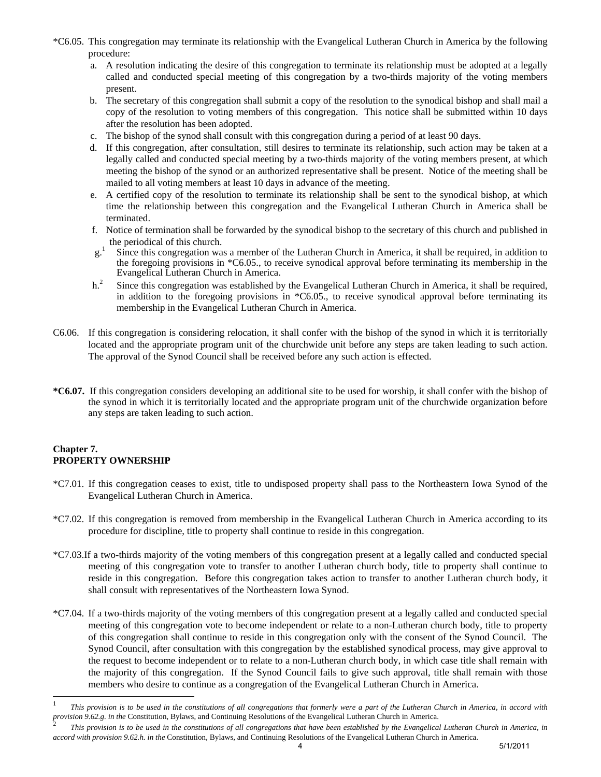- \*C6.05. This congregation may terminate its relationship with the Evangelical Lutheran Church in America by the following procedure:
	- a. A resolution indicating the desire of this congregation to terminate its relationship must be adopted at a legally called and conducted special meeting of this congregation by a two-thirds majority of the voting members present.
	- b. The secretary of this congregation shall submit a copy of the resolution to the synodical bishop and shall mail a copy of the resolution to voting members of this congregation. This notice shall be submitted within 10 days after the resolution has been adopted.
	- c. The bishop of the synod shall consult with this congregation during a period of at least 90 days.
	- d. If this congregation, after consultation, still desires to terminate its relationship, such action may be taken at a legally called and conducted special meeting by a two-thirds majority of the voting members present, at which meeting the bishop of the synod or an authorized representative shall be present. Notice of the meeting shall be mailed to all voting members at least 10 days in advance of the meeting.
	- e. A certified copy of the resolution to terminate its relationship shall be sent to the synodical bishop, at which time the relationship between this congregation and the Evangelical Lutheran Church in America shall be terminated.
	- f. Notice of termination shall be forwarded by the synodical bishop to the secretary of this church and published in the periodical of this church.
	- $g^{1}$ . Since this congregation was a member of the Lutheran Church in America, it shall be required, in addition to the foregoing provisions in \*C6.05., to receive synodical approval before terminating its membership in the Evangelical Lutheran Church in America.
	- $h^2$  Since this congregation was established by the Evangelical Lutheran Church in America, it shall be required, in addition to the foregoing provisions in \*C6.05., to receive synodical approval before terminating its membership in the Evangelical Lutheran Church in America.
- C6.06. If this congregation is considering relocation, it shall confer with the bishop of the synod in which it is territorially located and the appropriate program unit of the churchwide unit before any steps are taken leading to such action. The approval of the Synod Council shall be received before any such action is effected.
- **\*C6.07.** If this congregation considers developing an additional site to be used for worship, it shall confer with the bishop of the synod in which it is territorially located and the appropriate program unit of the churchwide organization before any steps are taken leading to such action.

# **Chapter 7. PROPERTY OWNERSHIP**

1

- \*C7.01. If this congregation ceases to exist, title to undisposed property shall pass to the Northeastern Iowa Synod of the Evangelical Lutheran Church in America.
- \*C7.02. If this congregation is removed from membership in the Evangelical Lutheran Church in America according to its procedure for discipline, title to property shall continue to reside in this congregation.
- \*C7.03.If a two-thirds majority of the voting members of this congregation present at a legally called and conducted special meeting of this congregation vote to transfer to another Lutheran church body, title to property shall continue to reside in this congregation. Before this congregation takes action to transfer to another Lutheran church body, it shall consult with representatives of the Northeastern Iowa Synod.
- \*C7.04. If a two-thirds majority of the voting members of this congregation present at a legally called and conducted special meeting of this congregation vote to become independent or relate to a non-Lutheran church body, title to property of this congregation shall continue to reside in this congregation only with the consent of the Synod Council. The Synod Council, after consultation with this congregation by the established synodical process, may give approval to the request to become independent or to relate to a non-Lutheran church body, in which case title shall remain with the majority of this congregation. If the Synod Council fails to give such approval, title shall remain with those members who desire to continue as a congregation of the Evangelical Lutheran Church in America.

<sup>1</sup> *This provision is to be used in the constitutions of all congregations that formerly were a part of the Lutheran Church in America, in accord with provision 9.62.g. in the* Constitution, Bylaws, and Continuing Resolutions of the Evangelical Lutheran Church in America. <sup>2</sup>

*This provision is to be used in the constitutions of all congregations that have been established by the Evangelical Lutheran Church in America, in accord with provision 9.62.h. in the* Constitution, Bylaws, and Continuing Resolutions of the Evangelical Lutheran Church in America. 4 5/1/2011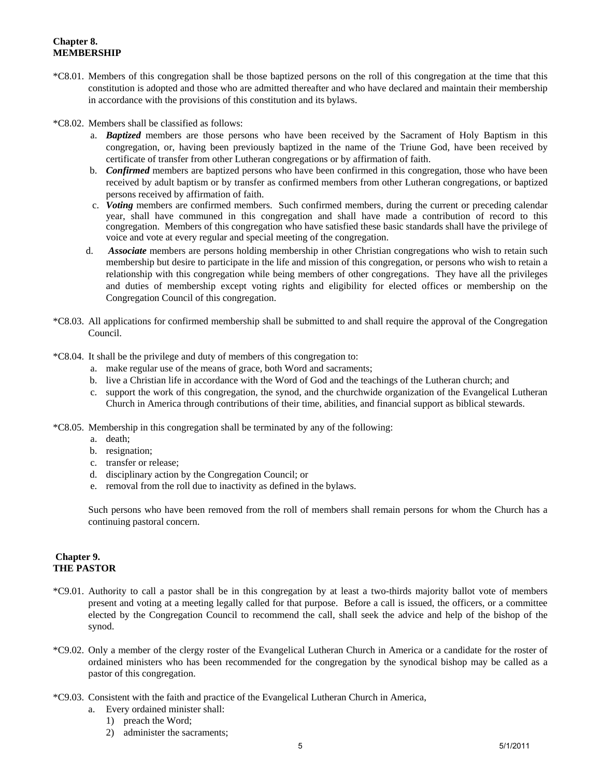# **Chapter 8. MEMBERSHIP**

- \*C8.01. Members of this congregation shall be those baptized persons on the roll of this congregation at the time that this constitution is adopted and those who are admitted thereafter and who have declared and maintain their membership in accordance with the provisions of this constitution and its bylaws.
- \*C8.02. Members shall be classified as follows:
	- a. *Baptized* members are those persons who have been received by the Sacrament of Holy Baptism in this congregation, or, having been previously baptized in the name of the Triune God, have been received by certificate of transfer from other Lutheran congregations or by affirmation of faith.
	- b. *Confirmed* members are baptized persons who have been confirmed in this congregation, those who have been received by adult baptism or by transfer as confirmed members from other Lutheran congregations, or baptized persons received by affirmation of faith.
	- c. *Voting* members are confirmed members. Such confirmed members, during the current or preceding calendar year, shall have communed in this congregation and shall have made a contribution of record to this congregation. Members of this congregation who have satisfied these basic standards shall have the privilege of voice and vote at every regular and special meeting of the congregation.
	- d. *Associate* members are persons holding membership in other Christian congregations who wish to retain such membership but desire to participate in the life and mission of this congregation, or persons who wish to retain a relationship with this congregation while being members of other congregations. They have all the privileges and duties of membership except voting rights and eligibility for elected offices or membership on the Congregation Council of this congregation.
- \*C8.03. All applications for confirmed membership shall be submitted to and shall require the approval of the Congregation Council.
- \*C8.04. It shall be the privilege and duty of members of this congregation to:
	- a. make regular use of the means of grace, both Word and sacraments;
	- b. live a Christian life in accordance with the Word of God and the teachings of the Lutheran church; and
	- c. support the work of this congregation, the synod, and the churchwide organization of the Evangelical Lutheran Church in America through contributions of their time, abilities, and financial support as biblical stewards.
- \*C8.05. Membership in this congregation shall be terminated by any of the following:
	- a. death;
	- b. resignation;
	- c. transfer or release;
	- d. disciplinary action by the Congregation Council; or
	- e. removal from the roll due to inactivity as defined in the bylaws.

Such persons who have been removed from the roll of members shall remain persons for whom the Church has a continuing pastoral concern.

#### **Chapter 9. THE PASTOR**

- \*C9.01. Authority to call a pastor shall be in this congregation by at least a two-thirds majority ballot vote of members present and voting at a meeting legally called for that purpose. Before a call is issued, the officers, or a committee elected by the Congregation Council to recommend the call, shall seek the advice and help of the bishop of the synod.
- \*C9.02. Only a member of the clergy roster of the Evangelical Lutheran Church in America or a candidate for the roster of ordained ministers who has been recommended for the congregation by the synodical bishop may be called as a pastor of this congregation.
- \*C9.03. Consistent with the faith and practice of the Evangelical Lutheran Church in America,
	- a. Every ordained minister shall:
		- 1) preach the Word;
		- 2) administer the sacraments;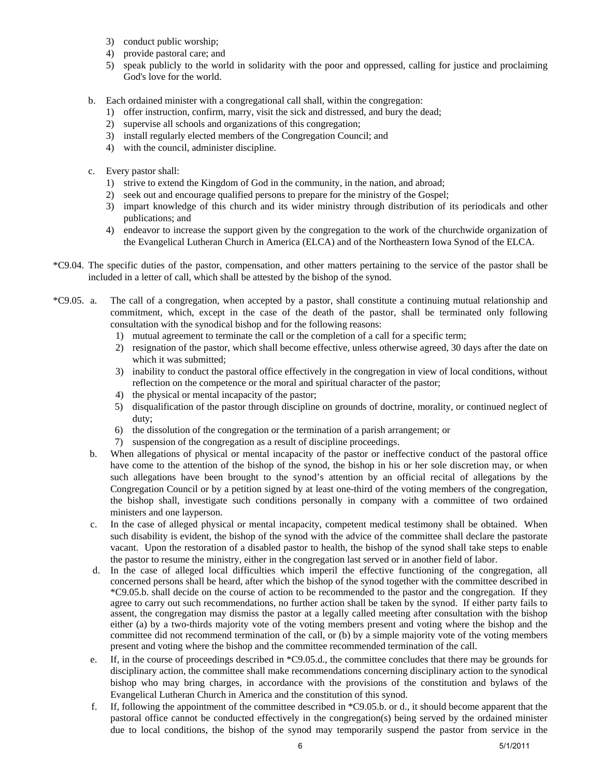- 3) conduct public worship;
- 4) provide pastoral care; and
- 5) speak publicly to the world in solidarity with the poor and oppressed, calling for justice and proclaiming God's love for the world.
- b. Each ordained minister with a congregational call shall, within the congregation:
	- 1) offer instruction, confirm, marry, visit the sick and distressed, and bury the dead;
	- 2) supervise all schools and organizations of this congregation;
	- 3) install regularly elected members of the Congregation Council; and
	- 4) with the council, administer discipline.
- c. Every pastor shall:
	- 1) strive to extend the Kingdom of God in the community, in the nation, and abroad;
	- 2) seek out and encourage qualified persons to prepare for the ministry of the Gospel;
	- 3) impart knowledge of this church and its wider ministry through distribution of its periodicals and other publications; and
	- 4) endeavor to increase the support given by the congregation to the work of the churchwide organization of the Evangelical Lutheran Church in America (ELCA) and of the Northeastern Iowa Synod of the ELCA.
- \*C9.04. The specific duties of the pastor, compensation, and other matters pertaining to the service of the pastor shall be included in a letter of call, which shall be attested by the bishop of the synod.
- \*C9.05. a. The call of a congregation, when accepted by a pastor, shall constitute a continuing mutual relationship and commitment, which, except in the case of the death of the pastor, shall be terminated only following consultation with the synodical bishop and for the following reasons:
	- 1) mutual agreement to terminate the call or the completion of a call for a specific term;
	- 2) resignation of the pastor, which shall become effective, unless otherwise agreed, 30 days after the date on which it was submitted;
	- 3) inability to conduct the pastoral office effectively in the congregation in view of local conditions, without reflection on the competence or the moral and spiritual character of the pastor;
	- 4) the physical or mental incapacity of the pastor;
	- 5) disqualification of the pastor through discipline on grounds of doctrine, morality, or continued neglect of duty;
	- 6) the dissolution of the congregation or the termination of a parish arrangement; or
	- 7) suspension of the congregation as a result of discipline proceedings.
	- b. When allegations of physical or mental incapacity of the pastor or ineffective conduct of the pastoral office have come to the attention of the bishop of the synod, the bishop in his or her sole discretion may, or when such allegations have been brought to the synod's attention by an official recital of allegations by the Congregation Council or by a petition signed by at least one-third of the voting members of the congregation, the bishop shall, investigate such conditions personally in company with a committee of two ordained ministers and one layperson.
	- c. In the case of alleged physical or mental incapacity, competent medical testimony shall be obtained. When such disability is evident, the bishop of the synod with the advice of the committee shall declare the pastorate vacant. Upon the restoration of a disabled pastor to health, the bishop of the synod shall take steps to enable the pastor to resume the ministry, either in the congregation last served or in another field of labor.
	- d. In the case of alleged local difficulties which imperil the effective functioning of the congregation, all concerned persons shall be heard, after which the bishop of the synod together with the committee described in \*C9.05.b. shall decide on the course of action to be recommended to the pastor and the congregation. If they agree to carry out such recommendations, no further action shall be taken by the synod. If either party fails to assent, the congregation may dismiss the pastor at a legally called meeting after consultation with the bishop either (a) by a two-thirds majority vote of the voting members present and voting where the bishop and the committee did not recommend termination of the call, or (b) by a simple majority vote of the voting members present and voting where the bishop and the committee recommended termination of the call.
	- e. If, in the course of proceedings described in \*C9.05.d., the committee concludes that there may be grounds for disciplinary action, the committee shall make recommendations concerning disciplinary action to the synodical bishop who may bring charges, in accordance with the provisions of the constitution and bylaws of the Evangelical Lutheran Church in America and the constitution of this synod.
	- f. If, following the appointment of the committee described in \*C9.05.b. or d., it should become apparent that the pastoral office cannot be conducted effectively in the congregation(s) being served by the ordained minister due to local conditions, the bishop of the synod may temporarily suspend the pastor from service in the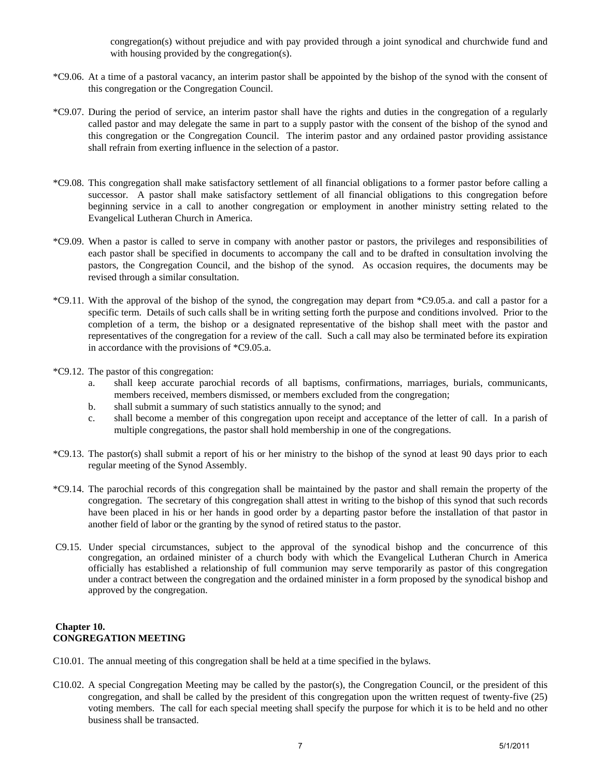congregation(s) without prejudice and with pay provided through a joint synodical and churchwide fund and with housing provided by the congregation(s).

- \*C9.06. At a time of a pastoral vacancy, an interim pastor shall be appointed by the bishop of the synod with the consent of this congregation or the Congregation Council.
- \*C9.07. During the period of service, an interim pastor shall have the rights and duties in the congregation of a regularly called pastor and may delegate the same in part to a supply pastor with the consent of the bishop of the synod and this congregation or the Congregation Council. The interim pastor and any ordained pastor providing assistance shall refrain from exerting influence in the selection of a pastor.
- \*C9.08. This congregation shall make satisfactory settlement of all financial obligations to a former pastor before calling a successor. A pastor shall make satisfactory settlement of all financial obligations to this congregation before beginning service in a call to another congregation or employment in another ministry setting related to the Evangelical Lutheran Church in America.
- \*C9.09. When a pastor is called to serve in company with another pastor or pastors, the privileges and responsibilities of each pastor shall be specified in documents to accompany the call and to be drafted in consultation involving the pastors, the Congregation Council, and the bishop of the synod. As occasion requires, the documents may be revised through a similar consultation.
- \*C9.11. With the approval of the bishop of the synod, the congregation may depart from \*C9.05.a. and call a pastor for a specific term. Details of such calls shall be in writing setting forth the purpose and conditions involved. Prior to the completion of a term, the bishop or a designated representative of the bishop shall meet with the pastor and representatives of the congregation for a review of the call. Such a call may also be terminated before its expiration in accordance with the provisions of \*C9.05.a.
- \*C9.12. The pastor of this congregation:
	- a. shall keep accurate parochial records of all baptisms, confirmations, marriages, burials, communicants, members received, members dismissed, or members excluded from the congregation;
	- b. shall submit a summary of such statistics annually to the synod; and
	- c. shall become a member of this congregation upon receipt and acceptance of the letter of call. In a parish of multiple congregations, the pastor shall hold membership in one of the congregations.
- \*C9.13. The pastor(s) shall submit a report of his or her ministry to the bishop of the synod at least 90 days prior to each regular meeting of the Synod Assembly.
- \*C9.14. The parochial records of this congregation shall be maintained by the pastor and shall remain the property of the congregation. The secretary of this congregation shall attest in writing to the bishop of this synod that such records have been placed in his or her hands in good order by a departing pastor before the installation of that pastor in another field of labor or the granting by the synod of retired status to the pastor.
- C9.15. Under special circumstances, subject to the approval of the synodical bishop and the concurrence of this congregation, an ordained minister of a church body with which the Evangelical Lutheran Church in America officially has established a relationship of full communion may serve temporarily as pastor of this congregation under a contract between the congregation and the ordained minister in a form proposed by the synodical bishop and approved by the congregation.

#### **Chapter 10. CONGREGATION MEETING**

- C10.01. The annual meeting of this congregation shall be held at a time specified in the bylaws.
- C10.02. A special Congregation Meeting may be called by the pastor(s), the Congregation Council, or the president of this congregation, and shall be called by the president of this congregation upon the written request of twenty-five (25) voting members. The call for each special meeting shall specify the purpose for which it is to be held and no other business shall be transacted.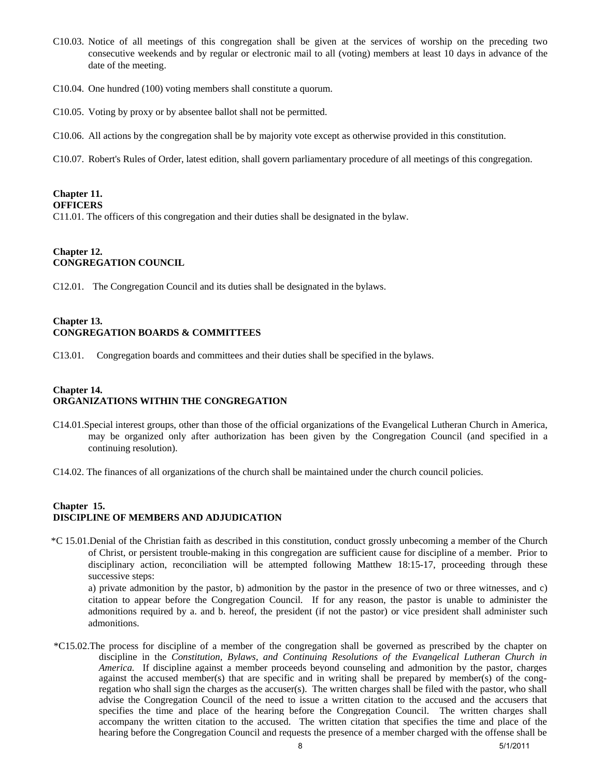- C10.03. Notice of all meetings of this congregation shall be given at the services of worship on the preceding two consecutive weekends and by regular or electronic mail to all (voting) members at least 10 days in advance of the date of the meeting.
- C10.04. One hundred (100) voting members shall constitute a quorum.
- C10.05. Voting by proxy or by absentee ballot shall not be permitted.
- C10.06. All actions by the congregation shall be by majority vote except as otherwise provided in this constitution.
- C10.07. Robert's Rules of Order, latest edition, shall govern parliamentary procedure of all meetings of this congregation.

# **Chapter 11.**

#### **OFFICERS**

C11.01. The officers of this congregation and their duties shall be designated in the bylaw.

# **Chapter 12. CONGREGATION COUNCIL**

C12.01. The Congregation Council and its duties shall be designated in the bylaws.

### **Chapter 13. CONGREGATION BOARDS & COMMITTEES**

C13.01. Congregation boards and committees and their duties shall be specified in the bylaws.

# **Chapter 14. ORGANIZATIONS WITHIN THE CONGREGATION**

- C14.01.Special interest groups, other than those of the official organizations of the Evangelical Lutheran Church in America, may be organized only after authorization has been given by the Congregation Council (and specified in a continuing resolution).
- C14.02. The finances of all organizations of the church shall be maintained under the church council policies.

# **Chapter 15. DISCIPLINE OF MEMBERS AND ADJUDICATION**

 \*C 15.01.Denial of the Christian faith as described in this constitution, conduct grossly unbecoming a member of the Church of Christ, or persistent trouble-making in this congregation are sufficient cause for discipline of a member. Prior to disciplinary action, reconciliation will be attempted following Matthew 18:15-17, proceeding through these successive steps:

 a) private admonition by the pastor, b) admonition by the pastor in the presence of two or three witnesses, and c) citation to appear before the Congregation Council. If for any reason, the pastor is unable to administer the admonitions required by a. and b. hereof, the president (if not the pastor) or vice president shall administer such admonitions.

\*C15.02.The process for discipline of a member of the congregation shall be governed as prescribed by the chapter on discipline in the *Constitution, Bylaws, and Continuing Resolutions of the Evangelical Lutheran Church in America.* If discipline against a member proceeds beyond counseling and admonition by the pastor, charges against the accused member(s) that are specific and in writing shall be prepared by member(s) of the congregation who shall sign the charges as the accuser(s). The written charges shall be filed with the pastor, who shall advise the Congregation Council of the need to issue a written citation to the accused and the accusers that specifies the time and place of the hearing before the Congregation Council. The written charges shall accompany the written citation to the accused. The written citation that specifies the time and place of the hearing before the Congregation Council and requests the presence of a member charged with the offense shall be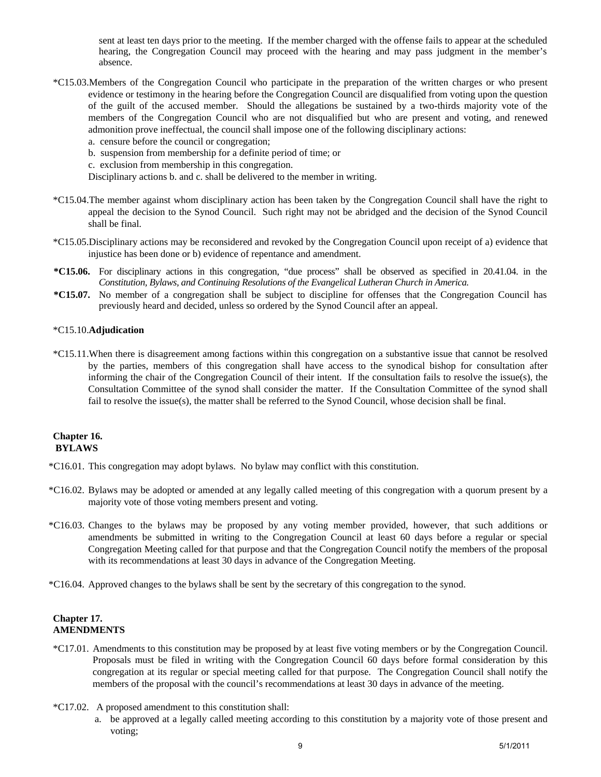sent at least ten days prior to the meeting. If the member charged with the offense fails to appear at the scheduled hearing, the Congregation Council may proceed with the hearing and may pass judgment in the member's absence.

- \*C15.03.Members of the Congregation Council who participate in the preparation of the written charges or who present evidence or testimony in the hearing before the Congregation Council are disqualified from voting upon the question of the guilt of the accused member. Should the allegations be sustained by a two-thirds majority vote of the members of the Congregation Council who are not disqualified but who are present and voting, and renewed admonition prove ineffectual, the council shall impose one of the following disciplinary actions:
	- a. censure before the council or congregation;
	- b. suspension from membership for a definite period of time; or
	- c. exclusion from membership in this congregation.

Disciplinary actions b. and c. shall be delivered to the member in writing.

- \*C15.04.The member against whom disciplinary action has been taken by the Congregation Council shall have the right to appeal the decision to the Synod Council. Such right may not be abridged and the decision of the Synod Council shall be final.
- \*C15.05.Disciplinary actions may be reconsidered and revoked by the Congregation Council upon receipt of a) evidence that injustice has been done or b) evidence of repentance and amendment.
- **\*C15.06.** For disciplinary actions in this congregation, "due process" shall be observed as specified in 20.41.04. in the *Constitution, Bylaws, and Continuing Resolutions of the Evangelical Lutheran Church in America.*
- **\*C15.07.** No member of a congregation shall be subject to discipline for offenses that the Congregation Council has previously heard and decided, unless so ordered by the Synod Council after an appeal.

#### \*C15.10.**Adjudication**

\*C15.11.When there is disagreement among factions within this congregation on a substantive issue that cannot be resolved by the parties, members of this congregation shall have access to the synodical bishop for consultation after informing the chair of the Congregation Council of their intent. If the consultation fails to resolve the issue(s), the Consultation Committee of the synod shall consider the matter. If the Consultation Committee of the synod shall fail to resolve the issue(s), the matter shall be referred to the Synod Council, whose decision shall be final.

#### **Chapter 16. BYLAWS**

- \*C16.01. This congregation may adopt bylaws. No bylaw may conflict with this constitution.
- \*C16.02. Bylaws may be adopted or amended at any legally called meeting of this congregation with a quorum present by a majority vote of those voting members present and voting.
- \*C16.03. Changes to the bylaws may be proposed by any voting member provided, however, that such additions or amendments be submitted in writing to the Congregation Council at least 60 days before a regular or special Congregation Meeting called for that purpose and that the Congregation Council notify the members of the proposal with its recommendations at least 30 days in advance of the Congregation Meeting.
- \*C16.04. Approved changes to the bylaws shall be sent by the secretary of this congregation to the synod.

# **Chapter 17. AMENDMENTS**

- \*C17.01. Amendments to this constitution may be proposed by at least five voting members or by the Congregation Council. Proposals must be filed in writing with the Congregation Council 60 days before formal consideration by this congregation at its regular or special meeting called for that purpose. The Congregation Council shall notify the members of the proposal with the council's recommendations at least 30 days in advance of the meeting.
- \*C17.02. A proposed amendment to this constitution shall:
	- a. be approved at a legally called meeting according to this constitution by a majority vote of those present and voting;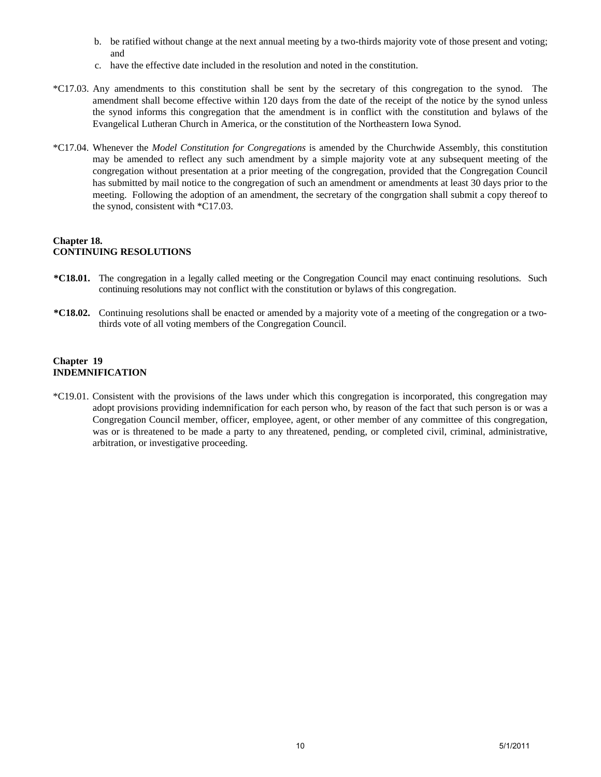- b. be ratified without change at the next annual meeting by a two-thirds majority vote of those present and voting; and
- c. have the effective date included in the resolution and noted in the constitution.
- \*C17.03. Any amendments to this constitution shall be sent by the secretary of this congregation to the synod. The amendment shall become effective within 120 days from the date of the receipt of the notice by the synod unless the synod informs this congregation that the amendment is in conflict with the constitution and bylaws of the Evangelical Lutheran Church in America, or the constitution of the Northeastern Iowa Synod.
- \*C17.04. Whenever the *Model Constitution for Congregations* is amended by the Churchwide Assembly, this constitution may be amended to reflect any such amendment by a simple majority vote at any subsequent meeting of the congregation without presentation at a prior meeting of the congregation, provided that the Congregation Council has submitted by mail notice to the congregation of such an amendment or amendments at least 30 days prior to the meeting. Following the adoption of an amendment, the secretary of the congrgation shall submit a copy thereof to the synod, consistent with \*C17.03.

### **Chapter 18. CONTINUING RESOLUTIONS**

- **\*C18.01.** The congregation in a legally called meeting or the Congregation Council may enact continuing resolutions. Such continuing resolutions may not conflict with the constitution or bylaws of this congregation.
- **\*C18.02.** Continuing resolutions shall be enacted or amended by a majority vote of a meeting of the congregation or a twothirds vote of all voting members of the Congregation Council.

# **Chapter 19 INDEMNIFICATION**

\*C19.01. Consistent with the provisions of the laws under which this congregation is incorporated, this congregation may adopt provisions providing indemnification for each person who, by reason of the fact that such person is or was a Congregation Council member, officer, employee, agent, or other member of any committee of this congregation, was or is threatened to be made a party to any threatened, pending, or completed civil, criminal, administrative, arbitration, or investigative proceeding.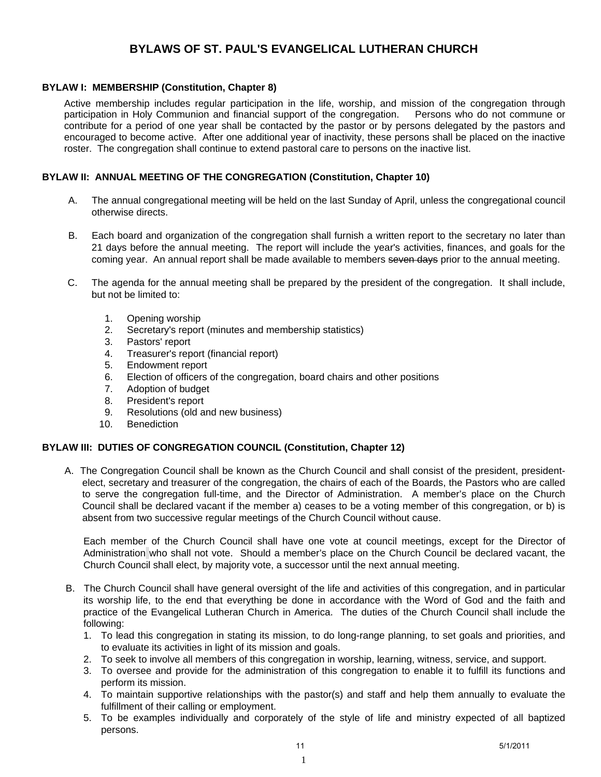# **BYLAWS OF ST. PAUL'S EVANGELICAL LUTHERAN CHURCH**

# **BYLAW I: MEMBERSHIP (Constitution, Chapter 8)**

Active membership includes regular participation in the life, worship, and mission of the congregation through participation in Holy Communion and financial support of the congregation. Persons who do not commune or contribute for a period of one year shall be contacted by the pastor or by persons delegated by the pastors and encouraged to become active. After one additional year of inactivity, these persons shall be placed on the inactive roster. The congregation shall continue to extend pastoral care to persons on the inactive list.

# **BYLAW II: ANNUAL MEETING OF THE CONGREGATION (Constitution, Chapter 10)**

- A. The annual congregational meeting will be held on the last Sunday of April, unless the congregational council otherwise directs.
- B. Each board and organization of the congregation shall furnish a written report to the secretary no later than 21 days before the annual meeting. The report will include the year's activities, finances, and goals for the coming year. An annual report shall be made available to members seven days prior to the annual meeting.
- C. The agenda for the annual meeting shall be prepared by the president of the congregation. It shall include, but not be limited to:
	- 1. Opening worship
	- 2. Secretary's report (minutes and membership statistics)
	- 3. Pastors' report
	- 4. Treasurer's report (financial report)
	- 5. Endowment report
	- 6. Election of officers of the congregation, board chairs and other positions
	- 7. Adoption of budget
	- 8. President's report
	- 9. Resolutions (old and new business)
	- 10. Benediction

# **BYLAW III: DUTIES OF CONGREGATION COUNCIL (Constitution, Chapter 12)**

A. The Congregation Council shall be known as the Church Council and shall consist of the president, presidentelect, secretary and treasurer of the congregation, the chairs of each of the Boards, the Pastors who are called to serve the congregation full-time, and the Director of Administration. A member's place on the Church Council shall be declared vacant if the member a) ceases to be a voting member of this congregation, or b) is absent from two successive regular meetings of the Church Council without cause.

Each member of the Church Council shall have one vote at council meetings, except for the Director of Administration who shall not vote. Should a member's place on the Church Council be declared vacant, the Church Council shall elect, by majority vote, a successor until the next annual meeting.

- B. The Church Council shall have general oversight of the life and activities of this congregation, and in particular its worship life, to the end that everything be done in accordance with the Word of God and the faith and practice of the Evangelical Lutheran Church in America. The duties of the Church Council shall include the following:
	- 1. To lead this congregation in stating its mission, to do long-range planning, to set goals and priorities, and to evaluate its activities in light of its mission and goals.
	- 2. To seek to involve all members of this congregation in worship, learning, witness, service, and support.
	- 3. To oversee and provide for the administration of this congregation to enable it to fulfill its functions and perform its mission.
	- 4. To maintain supportive relationships with the pastor(s) and staff and help them annually to evaluate the fulfillment of their calling or employment.
	- 5. To be examples individually and corporately of the style of life and ministry expected of all baptized persons.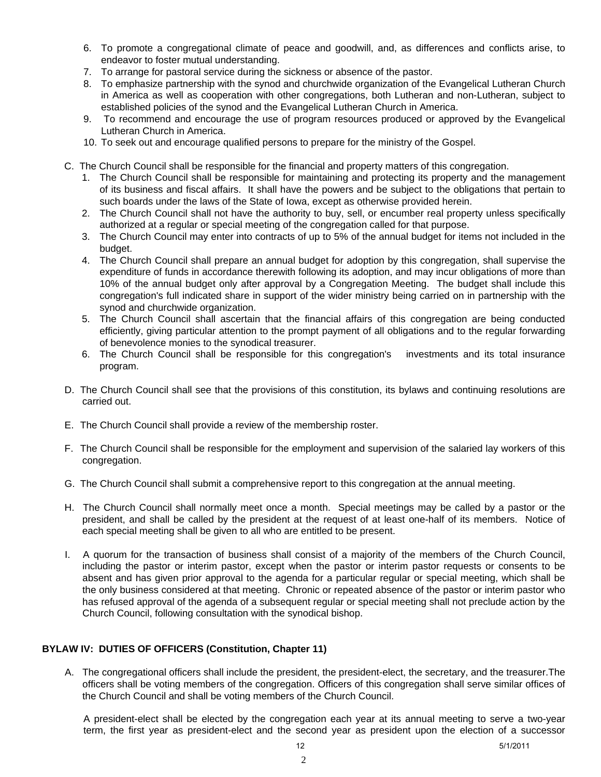- 6. To promote a congregational climate of peace and goodwill, and, as differences and conflicts arise, to endeavor to foster mutual understanding.
- 7. To arrange for pastoral service during the sickness or absence of the pastor.
- 8. To emphasize partnership with the synod and churchwide organization of the Evangelical Lutheran Church in America as well as cooperation with other congregations, both Lutheran and non-Lutheran, subject to established policies of the synod and the Evangelical Lutheran Church in America.
- 9. To recommend and encourage the use of program resources produced or approved by the Evangelical Lutheran Church in America.
- 10. To seek out and encourage qualified persons to prepare for the ministry of the Gospel.
- C. The Church Council shall be responsible for the financial and property matters of this congregation.
	- 1. The Church Council shall be responsible for maintaining and protecting its property and the management of its business and fiscal affairs. It shall have the powers and be subject to the obligations that pertain to such boards under the laws of the State of Iowa, except as otherwise provided herein.
	- 2. The Church Council shall not have the authority to buy, sell, or encumber real property unless specifically authorized at a regular or special meeting of the congregation called for that purpose.
	- 3. The Church Council may enter into contracts of up to 5% of the annual budget for items not included in the budget.
	- 4. The Church Council shall prepare an annual budget for adoption by this congregation, shall supervise the expenditure of funds in accordance therewith following its adoption, and may incur obligations of more than 10% of the annual budget only after approval by a Congregation Meeting. The budget shall include this congregation's full indicated share in support of the wider ministry being carried on in partnership with the synod and churchwide organization.
	- 5. The Church Council shall ascertain that the financial affairs of this congregation are being conducted efficiently, giving particular attention to the prompt payment of all obligations and to the regular forwarding of benevolence monies to the synodical treasurer.
	- 6. The Church Council shall be responsible for this congregation's investments and its total insurance program.
- D. The Church Council shall see that the provisions of this constitution, its bylaws and continuing resolutions are carried out.
- E. The Church Council shall provide a review of the membership roster.
- F. The Church Council shall be responsible for the employment and supervision of the salaried lay workers of this congregation.
- G. The Church Council shall submit a comprehensive report to this congregation at the annual meeting.
- H. The Church Council shall normally meet once a month. Special meetings may be called by a pastor or the president, and shall be called by the president at the request of at least one-half of its members. Notice of each special meeting shall be given to all who are entitled to be present.
- I. A quorum for the transaction of business shall consist of a majority of the members of the Church Council, including the pastor or interim pastor, except when the pastor or interim pastor requests or consents to be absent and has given prior approval to the agenda for a particular regular or special meeting, which shall be the only business considered at that meeting. Chronic or repeated absence of the pastor or interim pastor who has refused approval of the agenda of a subsequent regular or special meeting shall not preclude action by the Church Council, following consultation with the synodical bishop.

# **BYLAW IV: DUTIES OF OFFICERS (Constitution, Chapter 11)**

A. The congregational officers shall include the president, the president-elect, the secretary, and the treasurer.The officers shall be voting members of the congregation. Officers of this congregation shall serve similar offices of the Church Council and shall be voting members of the Church Council.

A president-elect shall be elected by the congregation each year at its annual meeting to serve a two-year term, the first year as president-elect and the second year as president upon the election of a successor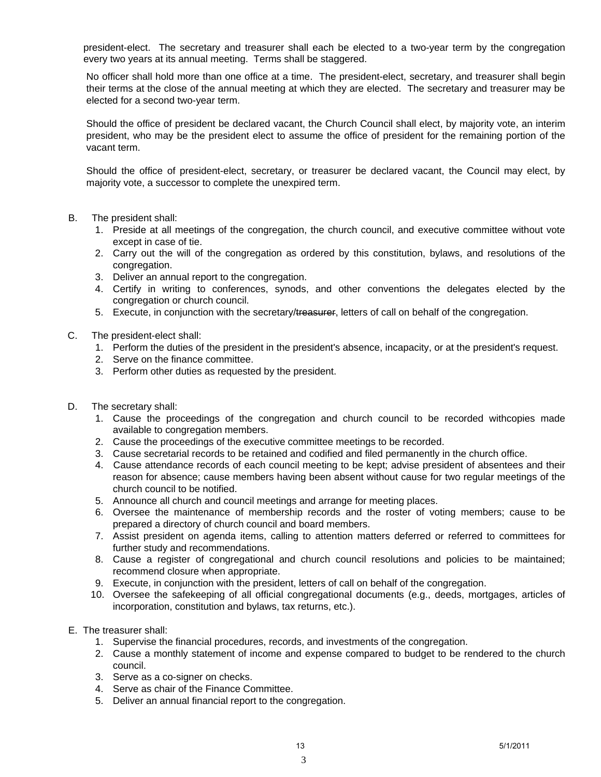president-elect. The secretary and treasurer shall each be elected to a two-year term by the congregation every two years at its annual meeting. Terms shall be staggered.

No officer shall hold more than one office at a time. The president-elect, secretary, and treasurer shall begin their terms at the close of the annual meeting at which they are elected. The secretary and treasurer may be elected for a second two-year term.

Should the office of president be declared vacant, the Church Council shall elect, by majority vote, an interim president, who may be the president elect to assume the office of president for the remaining portion of the vacant term.

Should the office of president-elect, secretary, or treasurer be declared vacant, the Council may elect, by majority vote, a successor to complete the unexpired term.

- B. The president shall:
	- 1. Preside at all meetings of the congregation, the church council, and executive committee without vote except in case of tie.
	- 2. Carry out the will of the congregation as ordered by this constitution, bylaws, and resolutions of the congregation.
	- 3. Deliver an annual report to the congregation.
	- 4. Certify in writing to conferences, synods, and other conventions the delegates elected by the congregation or church council.
	- 5. Execute, in conjunction with the secretary/treasurer, letters of call on behalf of the congregation.
- C. The president-elect shall:
	- 1. Perform the duties of the president in the president's absence, incapacity, or at the president's request.
	- 2. Serve on the finance committee.
	- 3. Perform other duties as requested by the president.
- D. The secretary shall:
	- 1. Cause the proceedings of the congregation and church council to be recorded withcopies made available to congregation members.
	- 2. Cause the proceedings of the executive committee meetings to be recorded.
	- 3. Cause secretarial records to be retained and codified and filed permanently in the church office.
	- 4. Cause attendance records of each council meeting to be kept; advise president of absentees and their reason for absence; cause members having been absent without cause for two regular meetings of the church council to be notified.
	- 5. Announce all church and council meetings and arrange for meeting places.
	- 6. Oversee the maintenance of membership records and the roster of voting members; cause to be prepared a directory of church council and board members.
	- 7. Assist president on agenda items, calling to attention matters deferred or referred to committees for further study and recommendations.
	- 8. Cause a register of congregational and church council resolutions and policies to be maintained; recommend closure when appropriate.
	- 9. Execute, in conjunction with the president, letters of call on behalf of the congregation.
	- 10. Oversee the safekeeping of all official congregational documents (e.g., deeds, mortgages, articles of incorporation, constitution and bylaws, tax returns, etc.).
- E. The treasurer shall:
	- 1. Supervise the financial procedures, records, and investments of the congregation.
	- 2. Cause a monthly statement of income and expense compared to budget to be rendered to the church council.
	- 3. Serve as a co-signer on checks.
	- 4. Serve as chair of the Finance Committee.
	- 5. Deliver an annual financial report to the congregation.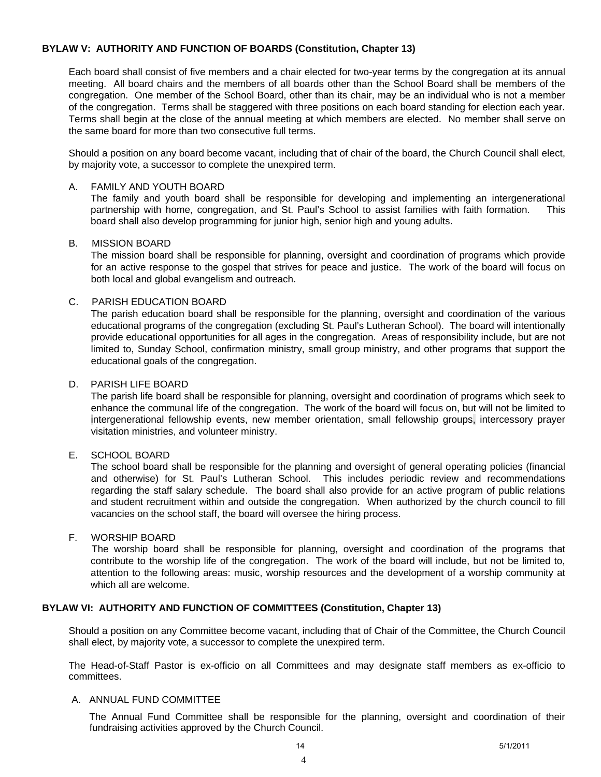# **BYLAW V: AUTHORITY AND FUNCTION OF BOARDS (Constitution, Chapter 13)**

Each board shall consist of five members and a chair elected for two-year terms by the congregation at its annual meeting. All board chairs and the members of all boards other than the School Board shall be members of the congregation. One member of the School Board, other than its chair, may be an individual who is not a member of the congregation. Terms shall be staggered with three positions on each board standing for election each year. Terms shall begin at the close of the annual meeting at which members are elected. No member shall serve on the same board for more than two consecutive full terms.

Should a position on any board become vacant, including that of chair of the board, the Church Council shall elect, by majority vote, a successor to complete the unexpired term.

#### A. FAMILY AND YOUTH BOARD

The family and youth board shall be responsible for developing and implementing an intergenerational partnership with home, congregation, and St. Paul's School to assist families with faith formation. This board shall also develop programming for junior high, senior high and young adults.

#### B. MISSION BOARD

The mission board shall be responsible for planning, oversight and coordination of programs which provide for an active response to the gospel that strives for peace and justice. The work of the board will focus on both local and global evangelism and outreach.

### C. PARISH EDUCATION BOARD

The parish education board shall be responsible for the planning, oversight and coordination of the various educational programs of the congregation (excluding St. Paul's Lutheran School). The board will intentionally provide educational opportunities for all ages in the congregation. Areas of responsibility include, but are not limited to, Sunday School, confirmation ministry, small group ministry, and other programs that support the educational goals of the congregation.

### D. PARISH LIFE BOARD

 The parish life board shall be responsible for planning, oversight and coordination of programs which seek to enhance the communal life of the congregation. The work of the board will focus on, but will not be limited to intergenerational fellowship events, new member orientation, small fellowship groups, intercessory prayer visitation ministries, and volunteer ministry.

# E. SCHOOL BOARD

The school board shall be responsible for the planning and oversight of general operating policies (financial and otherwise) for St. Paul's Lutheran School. This includes periodic review and recommendations regarding the staff salary schedule. The board shall also provide for an active program of public relations and student recruitment within and outside the congregation. When authorized by the church council to fill vacancies on the school staff, the board will oversee the hiring process.

### F. WORSHIP BOARD

 The worship board shall be responsible for planning, oversight and coordination of the programs that contribute to the worship life of the congregation. The work of the board will include, but not be limited to, attention to the following areas: music, worship resources and the development of a worship community at which all are welcome.

### **BYLAW VI: AUTHORITY AND FUNCTION OF COMMITTEES (Constitution, Chapter 13)**

Should a position on any Committee become vacant, including that of Chair of the Committee, the Church Council shall elect, by majority vote, a successor to complete the unexpired term.

 The Head-of-Staff Pastor is ex-officio on all Committees and may designate staff members as ex-officio to committees.

#### A. ANNUAL FUND COMMITTEE

 The Annual Fund Committee shall be responsible for the planning, oversight and coordination of their fundraising activities approved by the Church Council.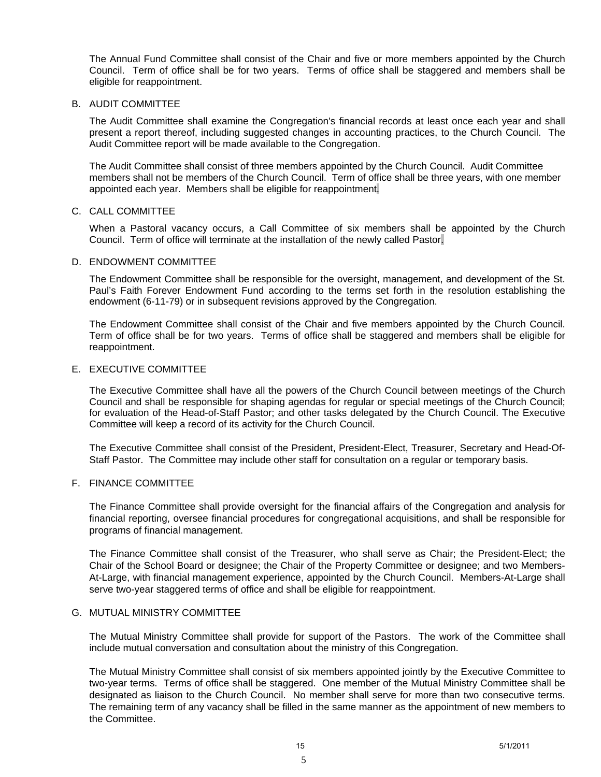The Annual Fund Committee shall consist of the Chair and five or more members appointed by the Church Council. Term of office shall be for two years. Terms of office shall be staggered and members shall be eligible for reappointment.

#### B. AUDIT COMMITTEE

 The Audit Committee shall examine the Congregation's financial records at least once each year and shall present a report thereof, including suggested changes in accounting practices, to the Church Council. The Audit Committee report will be made available to the Congregation.

 The Audit Committee shall consist of three members appointed by the Church Council. Audit Committee members shall not be members of the Church Council. Term of office shall be three years, with one member appointed each year. Members shall be eligible for reappointment.

#### C. CALL COMMITTEE

 When a Pastoral vacancy occurs, a Call Committee of six members shall be appointed by the Church Council. Term of office will terminate at the installation of the newly called Pastor.

#### D. ENDOWMENT COMMITTEE

 The Endowment Committee shall be responsible for the oversight, management, and development of the St. Paul's Faith Forever Endowment Fund according to the terms set forth in the resolution establishing the endowment (6-11-79) or in subsequent revisions approved by the Congregation.

 The Endowment Committee shall consist of the Chair and five members appointed by the Church Council. Term of office shall be for two years. Terms of office shall be staggered and members shall be eligible for reappointment.

#### E. EXECUTIVE COMMITTEE

 The Executive Committee shall have all the powers of the Church Council between meetings of the Church Council and shall be responsible for shaping agendas for regular or special meetings of the Church Council; for evaluation of the Head-of-Staff Pastor; and other tasks delegated by the Church Council. The Executive Committee will keep a record of its activity for the Church Council.

 The Executive Committee shall consist of the President, President-Elect, Treasurer, Secretary and Head-Of-Staff Pastor. The Committee may include other staff for consultation on a regular or temporary basis.

# F. FINANCE COMMITTEE

 The Finance Committee shall provide oversight for the financial affairs of the Congregation and analysis for financial reporting, oversee financial procedures for congregational acquisitions, and shall be responsible for programs of financial management.

 The Finance Committee shall consist of the Treasurer, who shall serve as Chair; the President-Elect; the Chair of the School Board or designee; the Chair of the Property Committee or designee; and two Members-At-Large, with financial management experience, appointed by the Church Council. Members-At-Large shall serve two-year staggered terms of office and shall be eligible for reappointment.

#### G. MUTUAL MINISTRY COMMITTEE

 The Mutual Ministry Committee shall provide for support of the Pastors. The work of the Committee shall include mutual conversation and consultation about the ministry of this Congregation.

 The Mutual Ministry Committee shall consist of six members appointed jointly by the Executive Committee to two-year terms. Terms of office shall be staggered. One member of the Mutual Ministry Committee shall be designated as liaison to the Church Council. No member shall serve for more than two consecutive terms. The remaining term of any vacancy shall be filled in the same manner as the appointment of new members to the Committee.